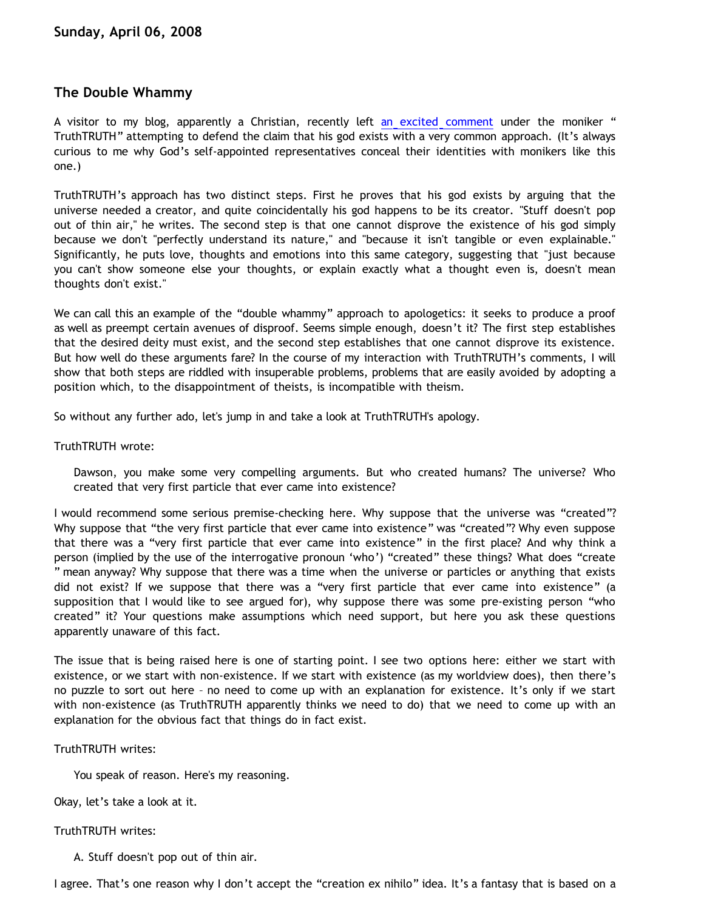# **The Double Whammy**

A visitor to my blog, apparently a Christian, recently left [an excited comment](http://bahnsenburner.blogspot.com/2008/01/response-to-vytautas.html) under the moniker " TruthTRUTH" attempting to defend the claim that his god exists with a very common approach. (It's always curious to me why God's self-appointed representatives conceal their identities with monikers like this one.)

TruthTRUTH's approach has two distinct steps. First he proves that his god exists by arguing that the universe needed a creator, and quite coincidentally his god happens to be its creator. "Stuff doesn't pop out of thin air," he writes. The second step is that one cannot disprove the existence of his god simply because we don't "perfectly understand its nature," and "because it isn't tangible or even explainable." Significantly, he puts love, thoughts and emotions into this same category, suggesting that "just because you can't show someone else your thoughts, or explain exactly what a thought even is, doesn't mean thoughts don't exist."

We can call this an example of the "double whammy" approach to apologetics: it seeks to produce a proof as well as preempt certain avenues of disproof. Seems simple enough, doesn't it? The first step establishes that the desired deity must exist, and the second step establishes that one cannot disprove its existence. But how well do these arguments fare? In the course of my interaction with TruthTRUTH's comments, I will show that both steps are riddled with insuperable problems, problems that are easily avoided by adopting a position which, to the disappointment of theists, is incompatible with theism.

So without any further ado, let's jump in and take a look at TruthTRUTH's apology.

### TruthTRUTH wrote:

Dawson, you make some very compelling arguments. But who created humans? The universe? Who created that very first particle that ever came into existence?

I would recommend some serious premise-checking here. Why suppose that the universe was "created"? Why suppose that "the very first particle that ever came into existence" was "created"? Why even suppose that there was a "very first particle that ever came into existence" in the first place? And why think a person (implied by the use of the interrogative pronoun 'who') "created" these things? What does "create " mean anyway? Why suppose that there was a time when the universe or particles or anything that exists did not exist? If we suppose that there was a "very first particle that ever came into existence" (a supposition that I would like to see argued for), why suppose there was some pre-existing person "who created" it? Your questions make assumptions which need support, but here you ask these questions apparently unaware of this fact.

The issue that is being raised here is one of starting point. I see two options here: either we start with existence, or we start with non-existence. If we start with existence (as my worldview does), then there's no puzzle to sort out here – no need to come up with an explanation for existence. It's only if we start with non-existence (as TruthTRUTH apparently thinks we need to do) that we need to come up with an explanation for the obvious fact that things do in fact exist.

#### TruthTRUTH writes:

You speak of reason. Here's my reasoning.

Okay, let's take a look at it.

# TruthTRUTH writes:

A. Stuff doesn't pop out of thin air.

I agree. That's one reason why I don't accept the "creation ex nihilo" idea. It's a fantasy that is based on a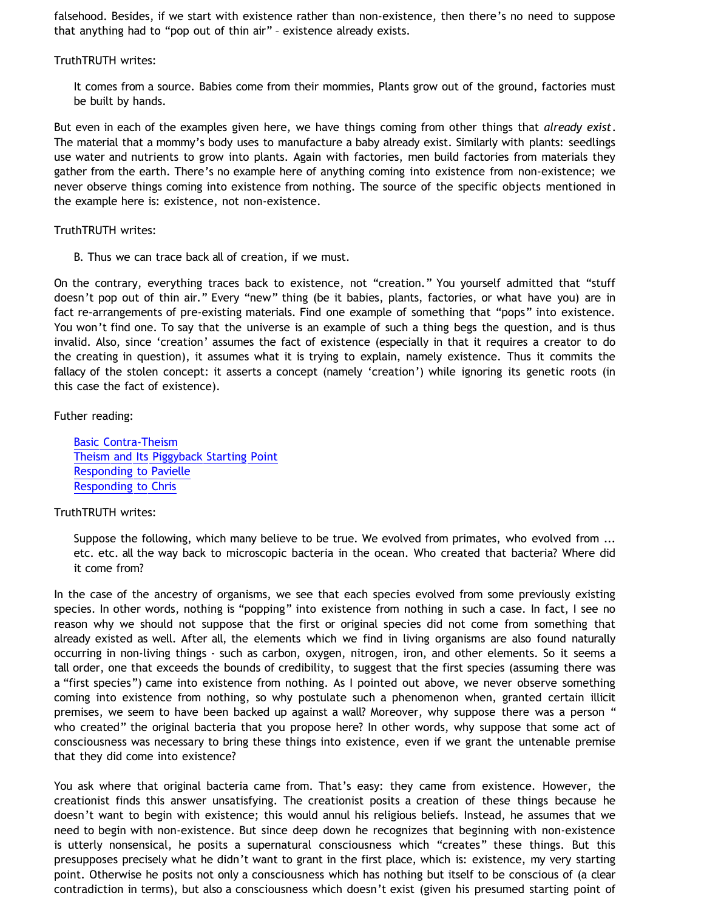falsehood. Besides, if we start with existence rather than non-existence, then there's no need to suppose that anything had to "pop out of thin air" – existence already exists.

TruthTRUTH writes:

It comes from a source. Babies come from their mommies, Plants grow out of the ground, factories must be built by hands.

But even in each of the examples given here, we have things coming from other things that *already exist*. The material that a mommy's body uses to manufacture a baby already exist. Similarly with plants: seedlings use water and nutrients to grow into plants. Again with factories, men build factories from materials they gather from the earth. There's no example here of anything coming into existence from non-existence; we never observe things coming into existence from nothing. The source of the specific objects mentioned in the example here is: existence, not non-existence.

TruthTRUTH writes:

B. Thus we can trace back all of creation, if we must.

On the contrary, everything traces back to existence, not "creation." You yourself admitted that "stuff doesn't pop out of thin air." Every "new" thing (be it babies, plants, factories, or what have you) are in fact re-arrangements of pre-existing materials. Find one example of something that "pops" into existence. You won't find one. To say that the universe is an example of such a thing begs the question, and is thus invalid. Also, since 'creation' assumes the fact of existence (especially in that it requires a creator to do the creating in question), it assumes what it is trying to explain, namely existence. Thus it commits the fallacy of the stolen concept: it asserts a concept (namely 'creation') while ignoring its genetic roots (in this case the fact of existence).

Futher reading:

[Basic Contra-Theism](http://bahnsenburner.blogspot.com/2006/05/basic-contra-theism.html) [Theism and Its Piggyback Starting Point](http://bahnsenburner.blogspot.com/2006/07/theism-and-its-piggyback-starting.html) [Responding to Pavielle](http://bahnsenburner.blogspot.com/2006/03/responding-to-pavielle.html) [Responding to Chris](http://bahnsenburner.blogspot.com/2006/07/responding-to-chris.html)

## TruthTRUTH writes:

Suppose the following, which many believe to be true. We evolved from primates, who evolved from ... etc. etc. all the way back to microscopic bacteria in the ocean. Who created that bacteria? Where did it come from?

In the case of the ancestry of organisms, we see that each species evolved from some previously existing species. In other words, nothing is "popping" into existence from nothing in such a case. In fact, I see no reason why we should not suppose that the first or original species did not come from something that already existed as well. After all, the elements which we find in living organisms are also found naturally occurring in non-living things - such as carbon, oxygen, nitrogen, iron, and other elements. So it seems a tall order, one that exceeds the bounds of credibility, to suggest that the first species (assuming there was a "first species") came into existence from nothing. As I pointed out above, we never observe something coming into existence from nothing, so why postulate such a phenomenon when, granted certain illicit premises, we seem to have been backed up against a wall? Moreover, why suppose there was a person " who created" the original bacteria that you propose here? In other words, why suppose that some act of consciousness was necessary to bring these things into existence, even if we grant the untenable premise that they did come into existence?

You ask where that original bacteria came from. That's easy: they came from existence. However, the creationist finds this answer unsatisfying. The creationist posits a creation of these things because he doesn't want to begin with existence; this would annul his religious beliefs. Instead, he assumes that we need to begin with non-existence. But since deep down he recognizes that beginning with non-existence is utterly nonsensical, he posits a supernatural consciousness which "creates" these things. But this presupposes precisely what he didn't want to grant in the first place, which is: existence, my very starting point. Otherwise he posits not only a consciousness which has nothing but itself to be conscious of (a clear contradiction in terms), but also a consciousness which doesn't exist (given his presumed starting point of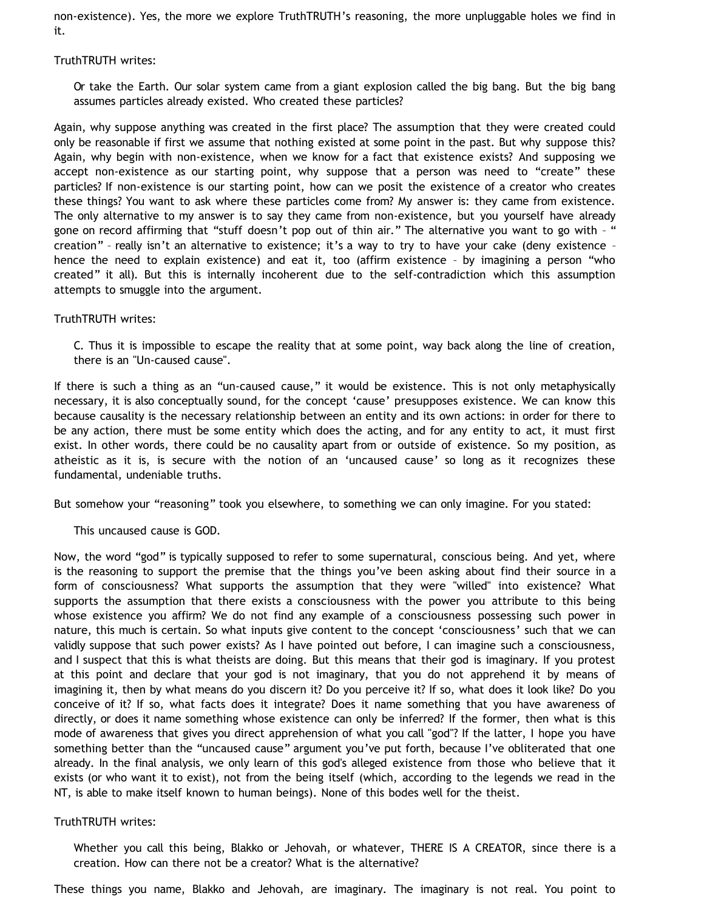non-existence). Yes, the more we explore TruthTRUTH's reasoning, the more unpluggable holes we find in it.

#### TruthTRUTH writes:

Or take the Earth. Our solar system came from a giant explosion called the big bang. But the big bang assumes particles already existed. Who created these particles?

Again, why suppose anything was created in the first place? The assumption that they were created could only be reasonable if first we assume that nothing existed at some point in the past. But why suppose this? Again, why begin with non-existence, when we know for a fact that existence exists? And supposing we accept non-existence as our starting point, why suppose that a person was need to "create" these particles? If non-existence is our starting point, how can we posit the existence of a creator who creates these things? You want to ask where these particles come from? My answer is: they came from existence. The only alternative to my answer is to say they came from non-existence, but you yourself have already gone on record affirming that "stuff doesn't pop out of thin air." The alternative you want to go with - " creation" – really isn't an alternative to existence; it's a way to try to have your cake (deny existence – hence the need to explain existence) and eat it, too (affirm existence – by imagining a person "who created" it all). But this is internally incoherent due to the self-contradiction which this assumption attempts to smuggle into the argument.

#### TruthTRUTH writes:

C. Thus it is impossible to escape the reality that at some point, way back along the line of creation, there is an "Un-caused cause".

If there is such a thing as an "un-caused cause," it would be existence. This is not only metaphysically necessary, it is also conceptually sound, for the concept 'cause' presupposes existence. We can know this because causality is the necessary relationship between an entity and its own actions: in order for there to be any action, there must be some entity which does the acting, and for any entity to act, it must first exist. In other words, there could be no causality apart from or outside of existence. So my position, as atheistic as it is, is secure with the notion of an 'uncaused cause' so long as it recognizes these fundamental, undeniable truths.

But somehow your "reasoning" took you elsewhere, to something we can only imagine. For you stated:

This uncaused cause is GOD.

Now, the word "god" is typically supposed to refer to some supernatural, conscious being. And yet, where is the reasoning to support the premise that the things you've been asking about find their source in a form of consciousness? What supports the assumption that they were "willed" into existence? What supports the assumption that there exists a consciousness with the power you attribute to this being whose existence you affirm? We do not find any example of a consciousness possessing such power in nature, this much is certain. So what inputs give content to the concept 'consciousness' such that we can validly suppose that such power exists? As I have pointed out before, I can imagine such a consciousness, and I suspect that this is what theists are doing. But this means that their god is imaginary. If you protest at this point and declare that your god is not imaginary, that you do not apprehend it by means of imagining it, then by what means do you discern it? Do you perceive it? If so, what does it look like? Do you conceive of it? If so, what facts does it integrate? Does it name something that you have awareness of directly, or does it name something whose existence can only be inferred? If the former, then what is this mode of awareness that gives you direct apprehension of what you call "god"? If the latter, I hope you have something better than the "uncaused cause" argument you've put forth, because I've obliterated that one already. In the final analysis, we only learn of this god's alleged existence from those who believe that it exists (or who want it to exist), not from the being itself (which, according to the legends we read in the NT, is able to make itself known to human beings). None of this bodes well for the theist.

#### TruthTRUTH writes:

Whether you call this being, Blakko or Jehovah, or whatever, THERE IS A CREATOR, since there is a creation. How can there not be a creator? What is the alternative?

These things you name, Blakko and Jehovah, are imaginary. The imaginary is not real. You point to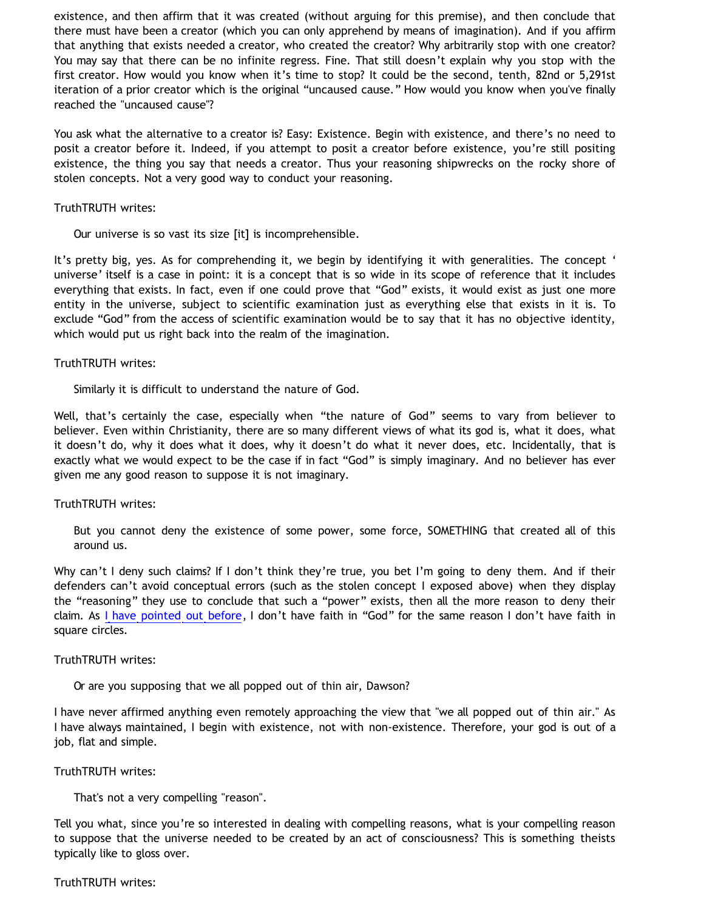existence, and then affirm that it was created (without arguing for this premise), and then conclude that there must have been a creator (which you can only apprehend by means of imagination). And if you affirm that anything that exists needed a creator, who created the creator? Why arbitrarily stop with one creator? You may say that there can be no infinite regress. Fine. That still doesn't explain why you stop with the first creator. How would you know when it's time to stop? It could be the second, tenth, 82nd or 5,291st iteration of a prior creator which is the original "uncaused cause." How would you know when you've finally reached the "uncaused cause"?

You ask what the alternative to a creator is? Easy: Existence. Begin with existence, and there's no need to posit a creator before it. Indeed, if you attempt to posit a creator before existence, you're still positing existence, the thing you say that needs a creator. Thus your reasoning shipwrecks on the rocky shore of stolen concepts. Not a very good way to conduct your reasoning.

#### TruthTRUTH writes:

Our universe is so vast its size [it] is incomprehensible.

It's pretty big, yes. As for comprehending it, we begin by identifying it with generalities. The concept ' universe' itself is a case in point: it is a concept that is so wide in its scope of reference that it includes everything that exists. In fact, even if one could prove that "God" exists, it would exist as just one more entity in the universe, subject to scientific examination just as everything else that exists in it is. To exclude "God" from the access of scientific examination would be to say that it has no objective identity, which would put us right back into the realm of the imagination.

### TruthTRUTH writes:

Similarly it is difficult to understand the nature of God.

Well, that's certainly the case, especially when "the nature of God" seems to vary from believer to believer. Even within Christianity, there are so many different views of what its god is, what it does, what it doesn't do, why it does what it does, why it doesn't do what it never does, etc. Incidentally, that is exactly what we would expect to be the case if in fact "God" is simply imaginary. And no believer has ever given me any good reason to suppose it is not imaginary.

#### TruthTRUTH writes:

But you cannot deny the existence of some power, some force, SOMETHING that created all of this around us.

Why can't I deny such claims? If I don't think they're true, you bet I'm going to deny them. And if their defenders can't avoid conceptual errors (such as the stolen concept I exposed above) when they display the "reasoning" they use to conclude that such a "power" exists, then all the more reason to deny their claim. As [I have pointed out before](http://www.geocities.com/katholon/squarecircles.htm), I don't have faith in "God" for the same reason I don't have faith in square circles.

#### TruthTRUTH writes:

Or are you supposing that we all popped out of thin air, Dawson?

I have never affirmed anything even remotely approaching the view that "we all popped out of thin air." As I have always maintained, I begin with existence, not with non-existence. Therefore, your god is out of a job, flat and simple.

#### TruthTRUTH writes:

That's not a very compelling "reason".

Tell you what, since you're so interested in dealing with compelling reasons, what is your compelling reason to suppose that the universe needed to be created by an act of consciousness? This is something theists typically like to gloss over.

#### TruthTRUTH writes: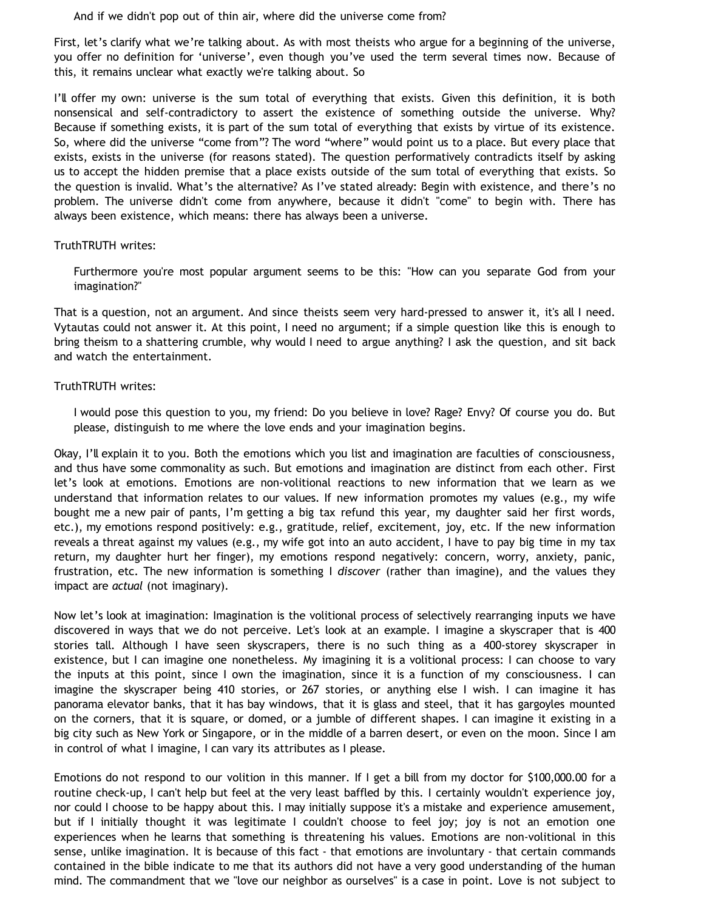And if we didn't pop out of thin air, where did the universe come from?

First, let's clarify what we're talking about. As with most theists who argue for a beginning of the universe, you offer no definition for 'universe', even though you've used the term several times now. Because of this, it remains unclear what exactly we're talking about. So

I'll offer my own: universe is the sum total of everything that exists. Given this definition, it is both nonsensical and self-contradictory to assert the existence of something outside the universe. Why? Because if something exists, it is part of the sum total of everything that exists by virtue of its existence. So, where did the universe "come from"? The word "where" would point us to a place. But every place that exists, exists in the universe (for reasons stated). The question performatively contradicts itself by asking us to accept the hidden premise that a place exists outside of the sum total of everything that exists. So the question is invalid. What's the alternative? As I've stated already: Begin with existence, and there's no problem. The universe didn't come from anywhere, because it didn't "come" to begin with. There has always been existence, which means: there has always been a universe.

#### TruthTRUTH writes:

Furthermore you're most popular argument seems to be this: "How can you separate God from your imagination?"

That is a question, not an argument. And since theists seem very hard-pressed to answer it, it's all I need. Vytautas could not answer it. At this point, I need no argument; if a simple question like this is enough to bring theism to a shattering crumble, why would I need to argue anything? I ask the question, and sit back and watch the entertainment.

### TruthTRUTH writes:

I would pose this question to you, my friend: Do you believe in love? Rage? Envy? Of course you do. But please, distinguish to me where the love ends and your imagination begins.

Okay, I'll explain it to you. Both the emotions which you list and imagination are faculties of consciousness, and thus have some commonality as such. But emotions and imagination are distinct from each other. First let's look at emotions. Emotions are non-volitional reactions to new information that we learn as we understand that information relates to our values. If new information promotes my values (e.g., my wife bought me a new pair of pants, I'm getting a big tax refund this year, my daughter said her first words, etc.), my emotions respond positively: e.g., gratitude, relief, excitement, joy, etc. If the new information reveals a threat against my values (e.g., my wife got into an auto accident, I have to pay big time in my tax return, my daughter hurt her finger), my emotions respond negatively: concern, worry, anxiety, panic, frustration, etc. The new information is something I *discover* (rather than imagine), and the values they impact are *actual* (not imaginary).

Now let's look at imagination: Imagination is the volitional process of selectively rearranging inputs we have discovered in ways that we do not perceive. Let's look at an example. I imagine a skyscraper that is 400 stories tall. Although I have seen skyscrapers, there is no such thing as a 400-storey skyscraper in existence, but I can imagine one nonetheless. My imagining it is a volitional process: I can choose to vary the inputs at this point, since I own the imagination, since it is a function of my consciousness. I can imagine the skyscraper being 410 stories, or 267 stories, or anything else I wish. I can imagine it has panorama elevator banks, that it has bay windows, that it is glass and steel, that it has gargoyles mounted on the corners, that it is square, or domed, or a jumble of different shapes. I can imagine it existing in a big city such as New York or Singapore, or in the middle of a barren desert, or even on the moon. Since I am in control of what I imagine, I can vary its attributes as I please.

Emotions do not respond to our volition in this manner. If I get a bill from my doctor for \$100,000.00 for a routine check-up, I can't help but feel at the very least baffled by this. I certainly wouldn't experience joy, nor could I choose to be happy about this. I may initially suppose it's a mistake and experience amusement, but if I initially thought it was legitimate I couldn't choose to feel joy; joy is not an emotion one experiences when he learns that something is threatening his values. Emotions are non-volitional in this sense, unlike imagination. It is because of this fact - that emotions are involuntary - that certain commands contained in the bible indicate to me that its authors did not have a very good understanding of the human mind. The commandment that we "love our neighbor as ourselves" is a case in point. Love is not subject to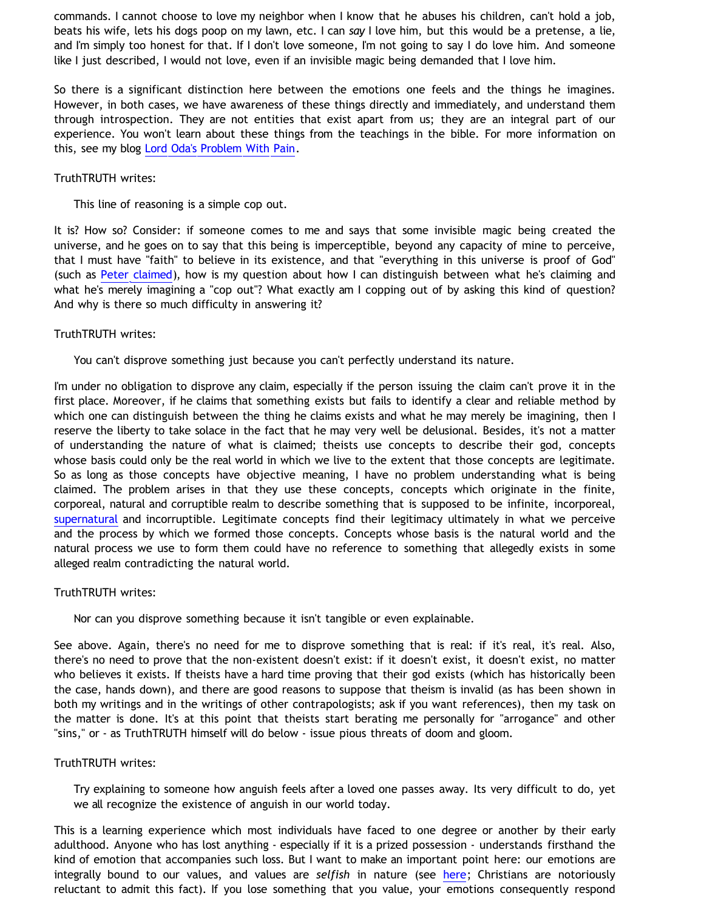commands. I cannot choose to love my neighbor when I know that he abuses his children, can't hold a job, beats his wife, lets his dogs poop on my lawn, etc. I can *say* I love him, but this would be a pretense, a lie, and I'm simply too honest for that. If I don't love someone, I'm not going to say I do love him. And someone like I just described, I would not love, even if an invisible magic being demanded that I love him.

So there is a significant distinction here between the emotions one feels and the things he imagines. However, in both cases, we have awareness of these things directly and immediately, and understand them through introspection. They are not entities that exist apart from us; they are an integral part of our experience. You won't learn about these things from the teachings in the bible. For more information on this, see my blog [Lord Oda's Problem With Pain](http://bahnsenburner.blogspot.com/2007/10/lord-odas-problem-with-pain.html).

#### TruthTRUTH writes:

This line of reasoning is a simple cop out.

It is? How so? Consider: if someone comes to me and says that some invisible magic being created the universe, and he goes on to say that this being is imperceptible, beyond any capacity of mine to perceive, that I must have "faith" to believe in its existence, and that "everything in this universe is proof of God" (such as [Peter claimed](http://bahnsenburner.blogspot.com/2008/02/presuppositionalism-and-evasion-of_04.html)), how is my question about how I can distinguish between what he's claiming and what he's merely imagining a "cop out"? What exactly am I copping out of by asking this kind of question? And why is there so much difficulty in answering it?

### TruthTRUTH writes:

You can't disprove something just because you can't perfectly understand its nature.

I'm under no obligation to disprove any claim, especially if the person issuing the claim can't prove it in the first place. Moreover, if he claims that something exists but fails to identify a clear and reliable method by which one can distinguish between the thing he claims exists and what he may merely be imagining, then I reserve the liberty to take solace in the fact that he may very well be delusional. Besides, it's not a matter of understanding the nature of what is claimed; theists use concepts to describe their god, concepts whose basis could only be the real world in which we live to the extent that those concepts are legitimate. So as long as those concepts have objective meaning, I have no problem understanding what is being claimed. The problem arises in that they use these concepts, concepts which originate in the finite, corporeal, natural and corruptible realm to describe something that is supposed to be infinite, incorporeal, [supernatural](http://www.geocities.com/katholon/Bahnsen_Supernatural.htm) and incorruptible. Legitimate concepts find their legitimacy ultimately in what we perceive and the process by which we formed those concepts. Concepts whose basis is the natural world and the natural process we use to form them could have no reference to something that allegedly exists in some alleged realm contradicting the natural world.

#### TruthTRUTH writes:

Nor can you disprove something because it isn't tangible or even explainable.

See above. Again, there's no need for me to disprove something that is real: if it's real, it's real. Also, there's no need to prove that the non-existent doesn't exist: if it doesn't exist, it doesn't exist, no matter who believes it exists. If theists have a hard time proving that their god exists (which has historically been the case, hands down), and there are good reasons to suppose that theism is invalid (as has been shown in both my writings and in the writings of other contrapologists; ask if you want references), then my task on the matter is done. It's at this point that theists start berating me personally for "arrogance" and other "sins," or - as TruthTRUTH himself will do below - issue pious threats of doom and gloom.

#### TruthTRUTH writes:

Try explaining to someone how anguish feels after a loved one passes away. Its very difficult to do, yet we all recognize the existence of anguish in our world today.

This is a learning experience which most individuals have faced to one degree or another by their early adulthood. Anyone who has lost anything - especially if it is a prized possession - understands firsthand the kind of emotion that accompanies such loss. But I want to make an important point here: our emotions are integrally bound to our values, and values are *selfish* in nature (see [here](http://bahnsenburner.blogspot.com/2006/03/calvindudes-defense-of-christianitys.html); Christians are notoriously reluctant to admit this fact). If you lose something that you value, your emotions consequently respond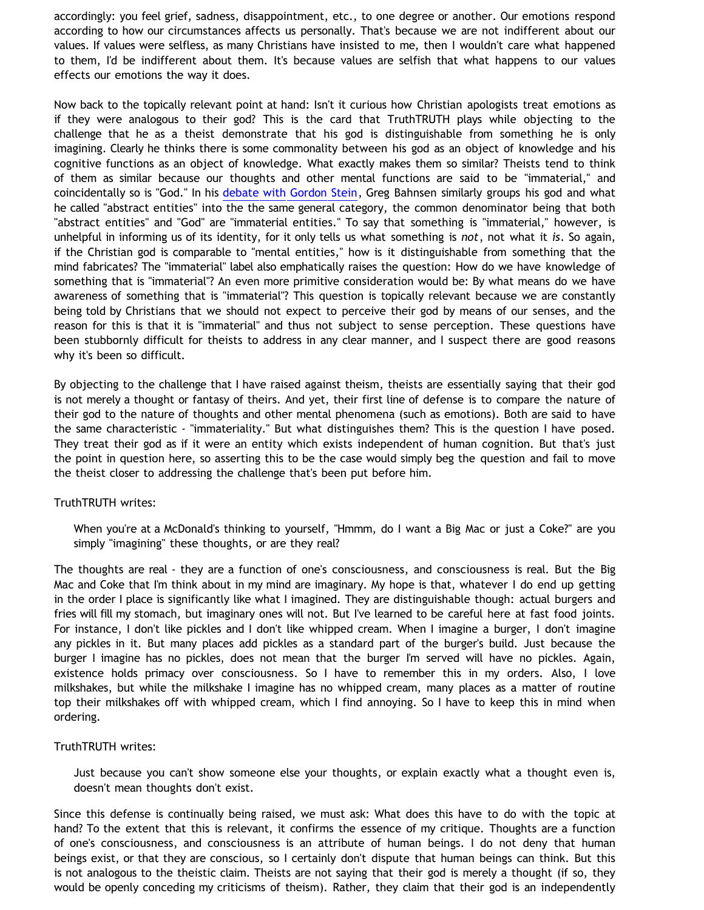accordingly: you feel grief, sadness, disappointment, etc., to one degree or another. Our emotions respond according to how our circumstances affects us personally. That's because we are not indifferent about our values. If values were selfless, as many Christians have insisted to me, then I wouldn't care what happened to them, I'd be indifferent about them. It's because values are selfish that what happens to our values effects our emotions the way it does.

Now back to the topically relevant point at hand: Isn't it curious how Christian apologists treat emotions as if they were analogous to their god? This is the card that TruthTRUTH plays while objecting to the challenge that he as a theist demonstrate that his god is distinguishable from something he is only imagining. Clearly he thinks there is some commonality between his god as an object of knowledge and his cognitive functions as an object of knowledge. What exactly makes them so similar? Theists tend to think of them as similar because our thoughts and other mental functions are said to be "immaterial," and coincidentally so is "God." In his [debate with Gordon Stein,](http://www.bellevuechristian.org/faculty/dribera/htdocs/PDFs/Apol_Bahnsen_Stein_Debate_Transcript.pdf) Greg Bahnsen similarly groups his god and what he called "abstract entities" into the the same general category, the common denominator being that both "abstract entities" and "God" are "immaterial entities." To say that something is "immaterial," however, is unhelpful in informing us of its identity, for it only tells us what something is *not*, not what it *is*. So again, if the Christian god is comparable to "mental entities," how is it distinguishable from something that the mind fabricates? The "immaterial" label also emphatically raises the question: How do we have knowledge of something that is "immaterial"? An even more primitive consideration would be: By what means do we have awareness of something that is "immaterial"? This question is topically relevant because we are constantly being told by Christians that we should not expect to perceive their god by means of our senses, and the reason for this is that it is "immaterial" and thus not subject to sense perception. These questions have been stubbornly difficult for theists to address in any clear manner, and I suspect there are good reasons why it's been so difficult.

By objecting to the challenge that I have raised against theism, theists are essentially saying that their god is not merely a thought or fantasy of theirs. And yet, their first line of defense is to compare the nature of their god to the nature of thoughts and other mental phenomena (such as emotions). Both are said to have the same characteristic - "immateriality." But what distinguishes them? This is the question I have posed. They treat their god as if it were an entity which exists independent of human cognition. But that's just the point in question here, so asserting this to be the case would simply beg the question and fail to move the theist closer to addressing the challenge that's been put before him.

#### TruthTRUTH writes:

When you're at a McDonald's thinking to yourself, "Hmmm, do I want a Big Mac or just a Coke?" are you simply "imagining" these thoughts, or are they real?

The thoughts are real - they are a function of one's consciousness, and consciousness is real. But the Big Mac and Coke that I'm think about in my mind are imaginary. My hope is that, whatever I do end up getting in the order I place is significantly like what I imagined. They are distinguishable though: actual burgers and fries will fill my stomach, but imaginary ones will not. But I've learned to be careful here at fast food joints. For instance, I don't like pickles and I don't like whipped cream. When I imagine a burger, I don't imagine any pickles in it. But many places add pickles as a standard part of the burger's build. Just because the burger I imagine has no pickles, does not mean that the burger I'm served will have no pickles. Again, existence holds primacy over consciousness. So I have to remember this in my orders. Also, I love milkshakes, but while the milkshake I imagine has no whipped cream, many places as a matter of routine top their milkshakes off with whipped cream, which I find annoying. So I have to keep this in mind when ordering.

#### TruthTRUTH writes:

Just because you can't show someone else your thoughts, or explain exactly what a thought even is, doesn't mean thoughts don't exist.

Since this defense is continually being raised, we must ask: What does this have to do with the topic at hand? To the extent that this is relevant, it confirms the essence of my critique. Thoughts are a function of one's consciousness, and consciousness is an attribute of human beings. I do not deny that human beings exist, or that they are conscious, so I certainly don't dispute that human beings can think. But this is not analogous to the theistic claim. Theists are not saying that their god is merely a thought (if so, they would be openly conceding my criticisms of theism). Rather, they claim that their god is an independently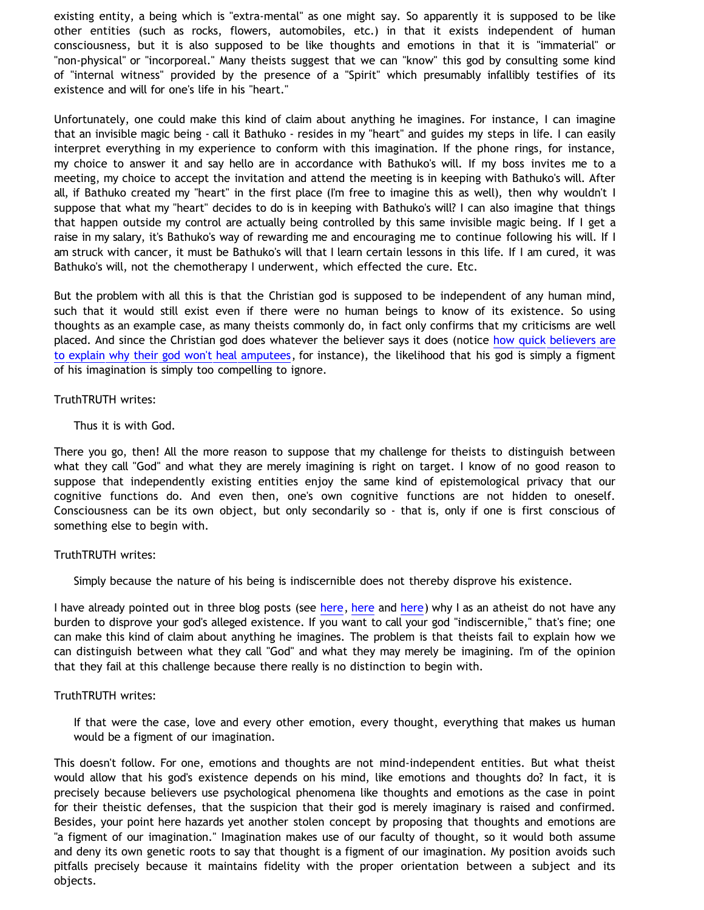existing entity, a being which is "extra-mental" as one might say. So apparently it is supposed to be like other entities (such as rocks, flowers, automobiles, etc.) in that it exists independent of human consciousness, but it is also supposed to be like thoughts and emotions in that it is "immaterial" or "non-physical" or "incorporeal." Many theists suggest that we can "know" this god by consulting some kind of "internal witness" provided by the presence of a "Spirit" which presumably infallibly testifies of its existence and will for one's life in his "heart."

Unfortunately, one could make this kind of claim about anything he imagines. For instance, I can imagine that an invisible magic being - call it Bathuko - resides in my "heart" and guides my steps in life. I can easily interpret everything in my experience to conform with this imagination. If the phone rings, for instance, my choice to answer it and say hello are in accordance with Bathuko's will. If my boss invites me to a meeting, my choice to accept the invitation and attend the meeting is in keeping with Bathuko's will. After all, if Bathuko created my "heart" in the first place (I'm free to imagine this as well), then why wouldn't I suppose that what my "heart" decides to do is in keeping with Bathuko's will? I can also imagine that things that happen outside my control are actually being controlled by this same invisible magic being. If I get a raise in my salary, it's Bathuko's way of rewarding me and encouraging me to continue following his will. If I am struck with cancer, it must be Bathuko's will that I learn certain lessons in this life. If I am cured, it was Bathuko's will, not the chemotherapy I underwent, which effected the cure. Etc.

But the problem with all this is that the Christian god is supposed to be independent of any human mind, such that it would still exist even if there were no human beings to know of its existence. So using thoughts as an example case, as many theists commonly do, in fact only confirms that my criticisms are well placed. And since the Christian god does whatever the believer says it does (notice [how quick believers are](https://www.blogger.com/comment.g?blogID=21219785&postID=3328337718576385292) [to explain why their god won't heal amputees,](https://www.blogger.com/comment.g?blogID=21219785&postID=3328337718576385292) for instance), the likelihood that his god is simply a figment of his imagination is simply too compelling to ignore.

#### TruthTRUTH writes:

#### Thus it is with God.

There you go, then! All the more reason to suppose that my challenge for theists to distinguish between what they call "God" and what they are merely imagining is right on target. I know of no good reason to suppose that independently existing entities enjoy the same kind of epistemological privacy that our cognitive functions do. And even then, one's own cognitive functions are not hidden to oneself. Consciousness can be its own object, but only secondarily so - that is, only if one is first conscious of something else to begin with.

#### TruthTRUTH writes:

Simply because the nature of his being is indiscernible does not thereby disprove his existence.

I have already pointed out in three blog posts (see [here](http://bahnsenburner.blogspot.com/2008/02/presuppositionalism-and-evasion-of_04.html), here and here) why I as an atheist do not have any burden to disprove your god's alleged existence. If you want to call your god "indiscernible," that's fine; one can make this kind of claim about anything he imagines. The problem is that theists fail to explain how we can distinguish between what they call "God" and what they may merely be imagining. I'm of the opinion that they fail at this challenge because there really is no distinction to begin with.

#### TruthTRUTH writes:

If that were the case, love and every other emotion, every thought, everything that makes us human would be a figment of our imagination.

This doesn't follow. For one, emotions and thoughts are not mind-independent entities. But what theist would allow that his god's existence depends on his mind, like emotions and thoughts do? In fact, it is precisely because believers use psychological phenomena like thoughts and emotions as the case in point for their theistic defenses, that the suspicion that their god is merely imaginary is raised and confirmed. Besides, your point here hazards yet another stolen concept by proposing that thoughts and emotions are "a figment of our imagination." Imagination makes use of our faculty of thought, so it would both assume and deny its own genetic roots to say that thought is a figment of our imagination. My position avoids such pitfalls precisely because it maintains fidelity with the proper orientation between a subject and its objects.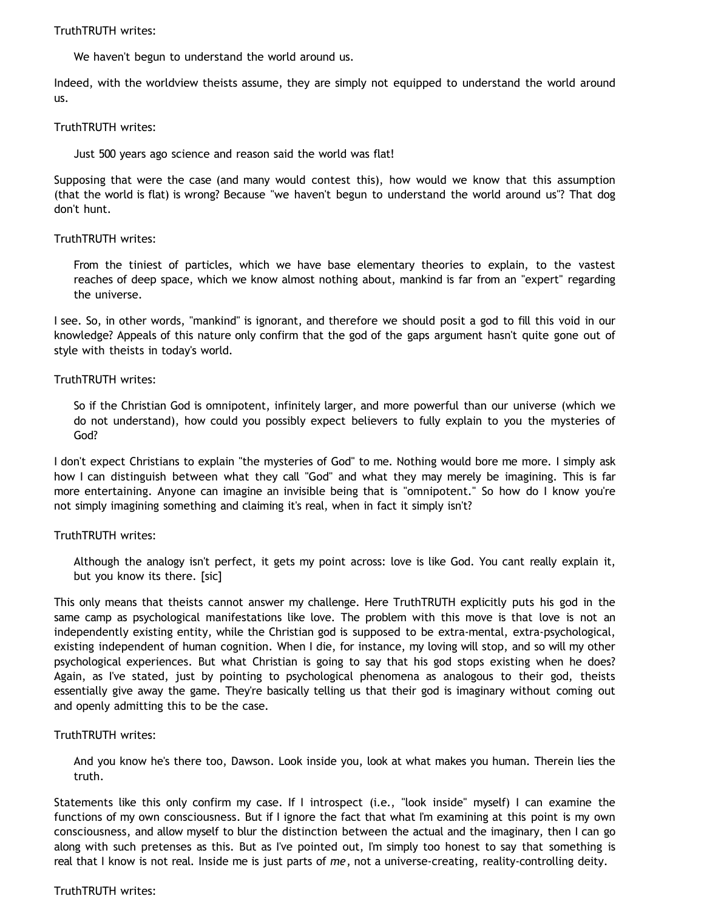#### TruthTRUTH writes:

We haven't begun to understand the world around us.

Indeed, with the worldview theists assume, they are simply not equipped to understand the world around us.

#### TruthTRUTH writes:

Just 500 years ago science and reason said the world was flat!

Supposing that were the case (and many would contest this), how would we know that this assumption (that the world is flat) is wrong? Because "we haven't begun to understand the world around us"? That dog don't hunt.

### TruthTRUTH writes:

From the tiniest of particles, which we have base elementary theories to explain, to the vastest reaches of deep space, which we know almost nothing about, mankind is far from an "expert" regarding the universe.

I see. So, in other words, "mankind" is ignorant, and therefore we should posit a god to fill this void in our knowledge? Appeals of this nature only confirm that the god of the gaps argument hasn't quite gone out of style with theists in today's world.

### TruthTRUTH writes:

So if the Christian God is omnipotent, infinitely larger, and more powerful than our universe (which we do not understand), how could you possibly expect believers to fully explain to you the mysteries of God?

I don't expect Christians to explain "the mysteries of God" to me. Nothing would bore me more. I simply ask how I can distinguish between what they call "God" and what they may merely be imagining. This is far more entertaining. Anyone can imagine an invisible being that is "omnipotent." So how do I know you're not simply imagining something and claiming it's real, when in fact it simply isn't?

## TruthTRUTH writes:

Although the analogy isn't perfect, it gets my point across: love is like God. You cant really explain it, but you know its there. [sic]

This only means that theists cannot answer my challenge. Here TruthTRUTH explicitly puts his god in the same camp as psychological manifestations like love. The problem with this move is that love is not an independently existing entity, while the Christian god is supposed to be extra-mental, extra-psychological, existing independent of human cognition. When I die, for instance, my loving will stop, and so will my other psychological experiences. But what Christian is going to say that his god stops existing when he does? Again, as I've stated, just by pointing to psychological phenomena as analogous to their god, theists essentially give away the game. They're basically telling us that their god is imaginary without coming out and openly admitting this to be the case.

#### TruthTRUTH writes:

And you know he's there too, Dawson. Look inside you, look at what makes you human. Therein lies the truth.

Statements like this only confirm my case. If I introspect (i.e., "look inside" myself) I can examine the functions of my own consciousness. But if I ignore the fact that what I'm examining at this point is my own consciousness, and allow myself to blur the distinction between the actual and the imaginary, then I can go along with such pretenses as this. But as I've pointed out, I'm simply too honest to say that something is real that I know is not real. Inside me is just parts of *me*, not a universe-creating, reality-controlling deity.

## TruthTRUTH writes: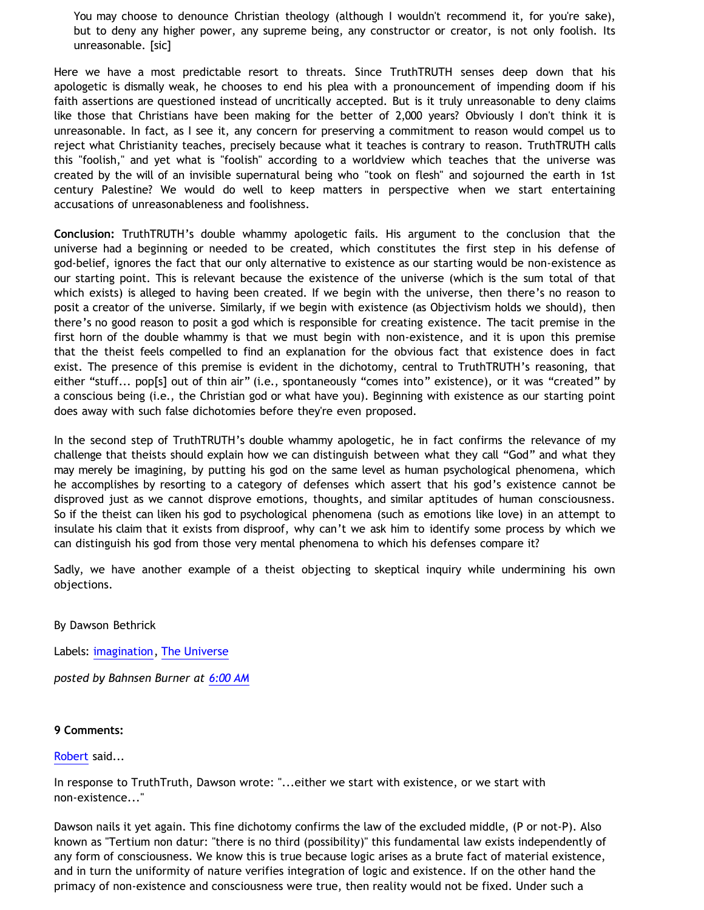You may choose to denounce Christian theology (although I wouldn't recommend it, for you're sake), but to deny any higher power, any supreme being, any constructor or creator, is not only foolish. Its unreasonable. [sic]

Here we have a most predictable resort to threats. Since TruthTRUTH senses deep down that his apologetic is dismally weak, he chooses to end his plea with a pronouncement of impending doom if his faith assertions are questioned instead of uncritically accepted. But is it truly unreasonable to deny claims like those that Christians have been making for the better of 2,000 years? Obviously I don't think it is unreasonable. In fact, as I see it, any concern for preserving a commitment to reason would compel us to reject what Christianity teaches, precisely because what it teaches is contrary to reason. TruthTRUTH calls this "foolish," and yet what is "foolish" according to a worldview which teaches that the universe was created by the will of an invisible supernatural being who "took on flesh" and sojourned the earth in 1st century Palestine? We would do well to keep matters in perspective when we start entertaining accusations of unreasonableness and foolishness.

**Conclusion:** TruthTRUTH's double whammy apologetic fails. His argument to the conclusion that the universe had a beginning or needed to be created, which constitutes the first step in his defense of god-belief, ignores the fact that our only alternative to existence as our starting would be non-existence as our starting point. This is relevant because the existence of the universe (which is the sum total of that which exists) is alleged to having been created. If we begin with the universe, then there's no reason to posit a creator of the universe. Similarly, if we begin with existence (as Objectivism holds we should), then there's no good reason to posit a god which is responsible for creating existence. The tacit premise in the first horn of the double whammy is that we must begin with non-existence, and it is upon this premise that the theist feels compelled to find an explanation for the obvious fact that existence does in fact exist. The presence of this premise is evident in the dichotomy, central to TruthTRUTH's reasoning, that either "stuff... pop[s] out of thin air" (i.e., spontaneously "comes into" existence), or it was "created" by a conscious being (i.e., the Christian god or what have you). Beginning with existence as our starting point does away with such false dichotomies before they're even proposed.

In the second step of TruthTRUTH's double whammy apologetic, he in fact confirms the relevance of my challenge that theists should explain how we can distinguish between what they call "God" and what they may merely be imagining, by putting his god on the same level as human psychological phenomena, which he accomplishes by resorting to a category of defenses which assert that his god's existence cannot be disproved just as we cannot disprove emotions, thoughts, and similar aptitudes of human consciousness. So if the theist can liken his god to psychological phenomena (such as emotions like love) in an attempt to insulate his claim that it exists from disproof, why can't we ask him to identify some process by which we can distinguish his god from those very mental phenomena to which his defenses compare it?

Sadly, we have another example of a theist objecting to skeptical inquiry while undermining his own objections.

By Dawson Bethrick

Labels: [imagination](http://bahnsenburner.blogspot.com/search/label/imagination), [The Universe](http://bahnsenburner.blogspot.com/search/label/The%20Universe)

*posted by Bahnsen Burner at [6:00 AM](http://bahnsenburner.blogspot.com/2008/04/double-whammy.html)*

#### **9 Comments:**

#### [Robert](http://www.blogger.com/profile/03469718358131331499) said...

In response to TruthTruth, Dawson wrote: "...either we start with existence, or we start with non-existence..."

Dawson nails it yet again. This fine dichotomy confirms the law of the excluded middle, (P or not-P). Also known as "Tertium non datur: "there is no third (possibility)" this fundamental law exists independently of any form of consciousness. We know this is true because logic arises as a brute fact of material existence, and in turn the uniformity of nature verifies integration of logic and existence. If on the other hand the primacy of non-existence and consciousness were true, then reality would not be fixed. Under such a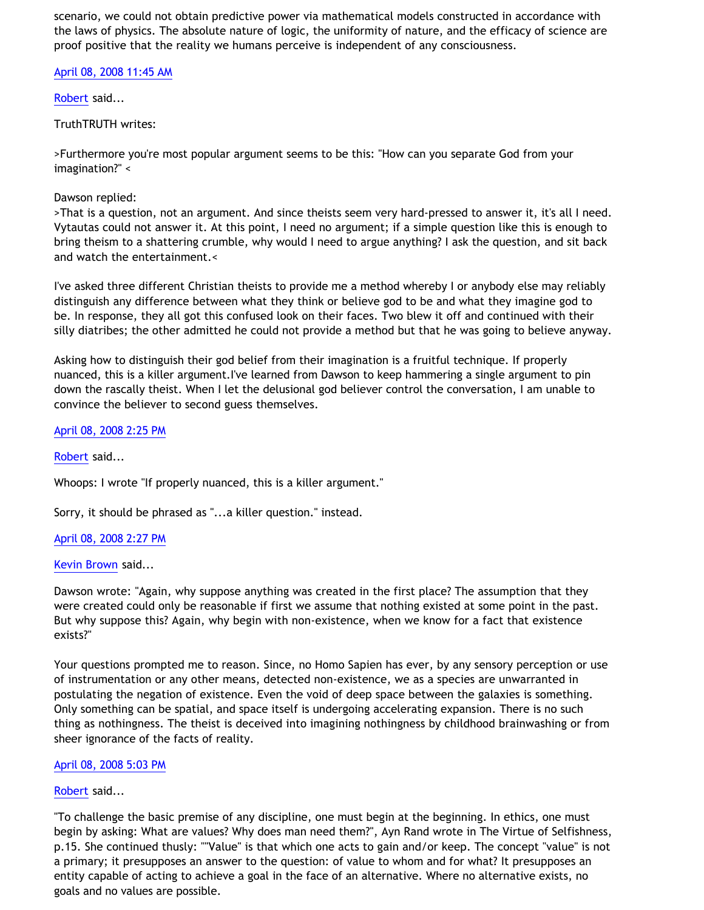scenario, we could not obtain predictive power via mathematical models constructed in accordance with the laws of physics. The absolute nature of logic, the uniformity of nature, and the efficacy of science are proof positive that the reality we humans perceive is independent of any consciousness.

[April 08, 2008 11:45 AM](http://bahnsenburner.blogspot.com/2008/04/5956035156484244738)

[Robert](http://www.blogger.com/profile/03469718358131331499) said...

## TruthTRUTH writes:

>Furthermore you're most popular argument seems to be this: "How can you separate God from your imagination?" <

## Dawson replied:

>That is a question, not an argument. And since theists seem very hard-pressed to answer it, it's all I need. Vytautas could not answer it. At this point, I need no argument; if a simple question like this is enough to bring theism to a shattering crumble, why would I need to argue anything? I ask the question, and sit back and watch the entertainment.<

I've asked three different Christian theists to provide me a method whereby I or anybody else may reliably distinguish any difference between what they think or believe god to be and what they imagine god to be. In response, they all got this confused look on their faces. Two blew it off and continued with their silly diatribes; the other admitted he could not provide a method but that he was going to believe anyway.

Asking how to distinguish their god belief from their imagination is a fruitful technique. If properly nuanced, this is a killer argument.I've learned from Dawson to keep hammering a single argument to pin down the rascally theist. When I let the delusional god believer control the conversation, I am unable to convince the believer to second guess themselves.

## [April 08, 2008 2:25 PM](http://bahnsenburner.blogspot.com/2008/04/6559396121902441488)

[Robert](http://www.blogger.com/profile/03469718358131331499) said...

Whoops: I wrote "If properly nuanced, this is a killer argument."

Sorry, it should be phrased as "...a killer question." instead.

## [April 08, 2008 2:27 PM](http://bahnsenburner.blogspot.com/2008/04/116347400462970239)

## [Kevin Brown](http://www.blogger.com/profile/04581136429971160522) said...

Dawson wrote: "Again, why suppose anything was created in the first place? The assumption that they were created could only be reasonable if first we assume that nothing existed at some point in the past. But why suppose this? Again, why begin with non-existence, when we know for a fact that existence exists?"

Your questions prompted me to reason. Since, no Homo Sapien has ever, by any sensory perception or use of instrumentation or any other means, detected non-existence, we as a species are unwarranted in postulating the negation of existence. Even the void of deep space between the galaxies is something. Only something can be spatial, and space itself is undergoing accelerating expansion. There is no such thing as nothingness. The theist is deceived into imagining nothingness by childhood brainwashing or from sheer ignorance of the facts of reality.

## [April 08, 2008 5:03 PM](http://bahnsenburner.blogspot.com/2008/04/561589400055133860)

## [Robert](http://www.blogger.com/profile/03469718358131331499) said...

"To challenge the basic premise of any discipline, one must begin at the beginning. In ethics, one must begin by asking: What are values? Why does man need them?", Ayn Rand wrote in The Virtue of Selfishness, p.15. She continued thusly: ""Value" is that which one acts to gain and/or keep. The concept "value" is not a primary; it presupposes an answer to the question: of value to whom and for what? It presupposes an entity capable of acting to achieve a goal in the face of an alternative. Where no alternative exists, no goals and no values are possible.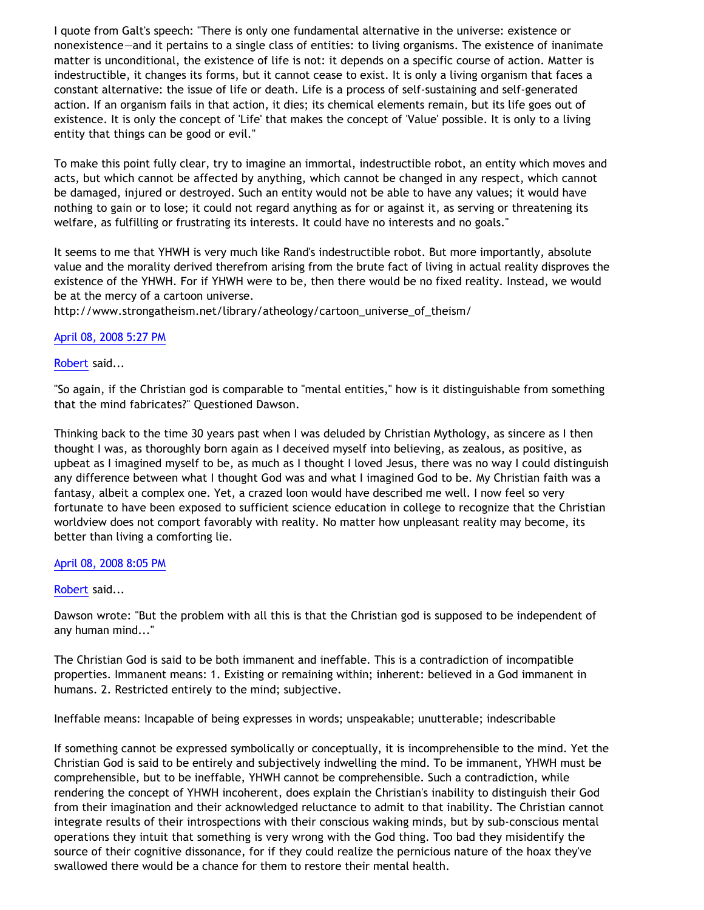I quote from Galt's speech: "There is only one fundamental alternative in the universe: existence or nonexistence—and it pertains to a single class of entities: to living organisms. The existence of inanimate matter is unconditional, the existence of life is not: it depends on a specific course of action. Matter is indestructible, it changes its forms, but it cannot cease to exist. It is only a living organism that faces a constant alternative: the issue of life or death. Life is a process of self-sustaining and self-generated action. If an organism fails in that action, it dies; its chemical elements remain, but its life goes out of existence. It is only the concept of 'Life' that makes the concept of 'Value' possible. It is only to a living entity that things can be good or evil."

To make this point fully clear, try to imagine an immortal, indestructible robot, an entity which moves and acts, but which cannot be affected by anything, which cannot be changed in any respect, which cannot be damaged, injured or destroyed. Such an entity would not be able to have any values; it would have nothing to gain or to lose; it could not regard anything as for or against it, as serving or threatening its welfare, as fulfilling or frustrating its interests. It could have no interests and no goals."

It seems to me that YHWH is very much like Rand's indestructible robot. But more importantly, absolute value and the morality derived therefrom arising from the brute fact of living in actual reality disproves the existence of the YHWH. For if YHWH were to be, then there would be no fixed reality. Instead, we would be at the mercy of a cartoon universe.

[http://www.strongatheism.net/library/atheology/cartoon\\_universe\\_of\\_theism/](http://www.strongatheism.net/library/atheology/cartoon_universe_of_theism/)

### [April 08, 2008 5:27 PM](http://bahnsenburner.blogspot.com/2008/04/7594723601998625295)

### [Robert](http://www.blogger.com/profile/03469718358131331499) said...

"So again, if the Christian god is comparable to "mental entities," how is it distinguishable from something that the mind fabricates?" Questioned Dawson.

Thinking back to the time 30 years past when I was deluded by Christian Mythology, as sincere as I then thought I was, as thoroughly born again as I deceived myself into believing, as zealous, as positive, as upbeat as I imagined myself to be, as much as I thought I loved Jesus, there was no way I could distinguish any difference between what I thought God was and what I imagined God to be. My Christian faith was a fantasy, albeit a complex one. Yet, a crazed loon would have described me well. I now feel so very fortunate to have been exposed to sufficient science education in college to recognize that the Christian worldview does not comport favorably with reality. No matter how unpleasant reality may become, its better than living a comforting lie.

#### [April 08, 2008 8:05 PM](http://bahnsenburner.blogspot.com/2008/04/5411299367944551232)

#### [Robert](http://www.blogger.com/profile/03469718358131331499) said...

Dawson wrote: "But the problem with all this is that the Christian god is supposed to be independent of any human mind..."

The Christian God is said to be both immanent and ineffable. This is a contradiction of incompatible properties. Immanent means: 1. Existing or remaining within; inherent: believed in a God immanent in humans. 2. Restricted entirely to the mind; subjective.

Ineffable means: Incapable of being expresses in words; unspeakable; unutterable; indescribable

If something cannot be expressed symbolically or conceptually, it is incomprehensible to the mind. Yet the Christian God is said to be entirely and subjectively indwelling the mind. To be immanent, YHWH must be comprehensible, but to be ineffable, YHWH cannot be comprehensible. Such a contradiction, while rendering the concept of YHWH incoherent, does explain the Christian's inability to distinguish their God from their imagination and their acknowledged reluctance to admit to that inability. The Christian cannot integrate results of their introspections with their conscious waking minds, but by sub-conscious mental operations they intuit that something is very wrong with the God thing. Too bad they misidentify the source of their cognitive dissonance, for if they could realize the pernicious nature of the hoax they've swallowed there would be a chance for them to restore their mental health.